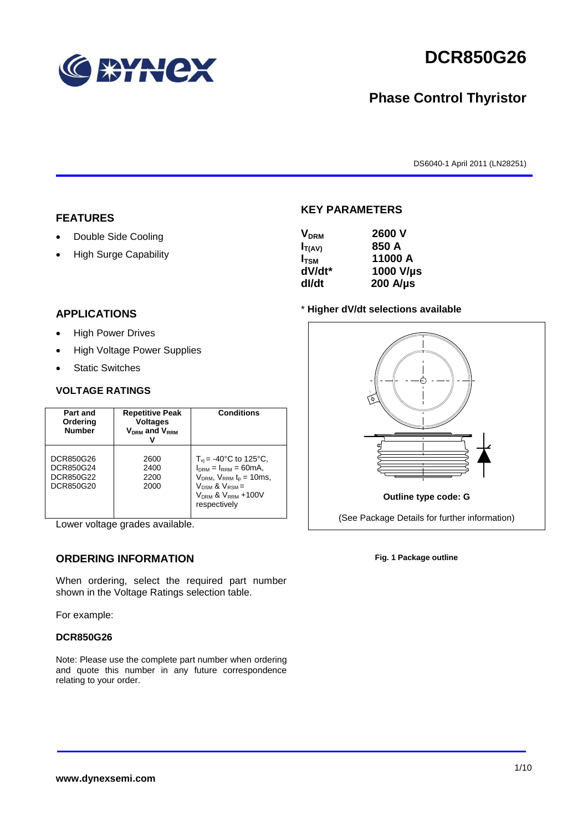

# **DCR850G26**

## **Phase Control Thyristor**

DS6040-1 April 2011 (LN28251)

#### **FEATURES**

- Double Side Cooling
- High Surge Capability

#### **APPLICATIONS**

- High Power Drives
- High Voltage Power Supplies
- Static Switches

#### **VOLTAGE RATINGS**

| Part and<br>Ordering<br><b>Number</b>            | <b>Repetitive Peak</b><br><b>Voltages</b><br>$V_{DRM}$ and $V_{RRM}$ | <b>Conditions</b>                                                                                                                                                                               |
|--------------------------------------------------|----------------------------------------------------------------------|-------------------------------------------------------------------------------------------------------------------------------------------------------------------------------------------------|
| DCR850G26<br>DCR850G24<br>DCR850G22<br>DCR850G20 | 2600<br>2400<br>2200<br>2000                                         | $T_{\rm vi}$ = -40°C to 125°C,<br>$I_{DRM} = I_{RRM} = 60mA$ ,<br>$V_{DRM}$ , $V_{RRM}$ $t_{p}$ = 10ms,<br>$V_{DSM}$ & $V_{RSM}$ =<br>V <sub>DRM</sub> & V <sub>RRM</sub> +100V<br>respectively |

Lower voltage grades available.

#### **ORDERING INFORMATION**

When ordering, select the required part number shown in the Voltage Ratings selection table.

For example:

#### **DCR850G26**

Note: Please use the complete part number when ordering and quote this number in any future correspondence relating to your order.

#### **KEY PARAMETERS**

| <b>V<sub>DRM</sub></b> | 2600 V           |
|------------------------|------------------|
| $I_{T(AV)}$            | 850 A            |
| $I_{\text{TSM}}$       | 11000 A          |
| dV/dt*                 | 1000 V/µs        |
| dl/dt                  | $200$ A/ $\mu$ s |

#### \* **Higher dV/dt selections available**



**Fig. 1 Package outline**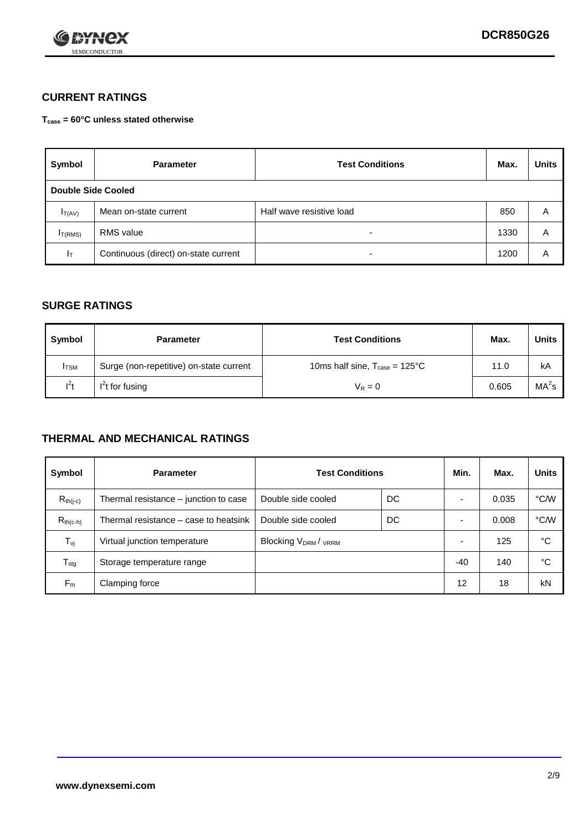

### **CURRENT RATINGS**

**Tcase = 60°C unless stated otherwise**

| Symbol             | <b>Parameter</b>                     | <b>Test Conditions</b>   |      | <b>Units</b> |  |
|--------------------|--------------------------------------|--------------------------|------|--------------|--|
| Double Side Cooled |                                      |                          |      |              |  |
| $I_{T(AV)}$        | Mean on-state current                | Half wave resistive load | 850  | A            |  |
| $I_{T(RMS)}$       | RMS value                            | $\overline{\phantom{a}}$ | 1330 | Α            |  |
| Iт                 | Continuous (direct) on-state current | $\overline{\phantom{a}}$ | 1200 | Α            |  |

#### **SURGE RATINGS**

| Symbol       | <b>Parameter</b>                        | <b>Test Conditions</b>                            | Max.  | <b>Units</b>      |
|--------------|-----------------------------------------|---------------------------------------------------|-------|-------------------|
| <b>I</b> TSM | Surge (non-repetitive) on-state current | 10ms half sine, $T_{\text{case}} = 125^{\circ}$ C | 11.0  | kA                |
| $l^2t$       | $I2t$ for fusing                        | $V_R = 0$                                         | 0.605 | MA <sup>2</sup> s |

#### **THERMAL AND MECHANICAL RATINGS**

| Symbol           | <b>Parameter</b>                      | <b>Test Conditions</b>    |    | Min.  | Max.  | <b>Units</b> |
|------------------|---------------------------------------|---------------------------|----|-------|-------|--------------|
| $R_{th(j-c)}$    | Thermal resistance – junction to case | Double side cooled        | DC |       | 0.035 | °C/W         |
| $R_{th(c-h)}$    | Thermal resistance – case to heatsink | Double side cooled        | DC |       | 0.008 | °C/W         |
| $T_{\nu j}$      | Virtual junction temperature          | <b>Blocking VDRM/VRRM</b> |    |       | 125   | °C           |
| $T_{\text{stg}}$ | Storage temperature range             |                           |    | $-40$ | 140   | °C           |
| $F_m$            | Clamping force                        |                           |    | 12    | 18    | kN           |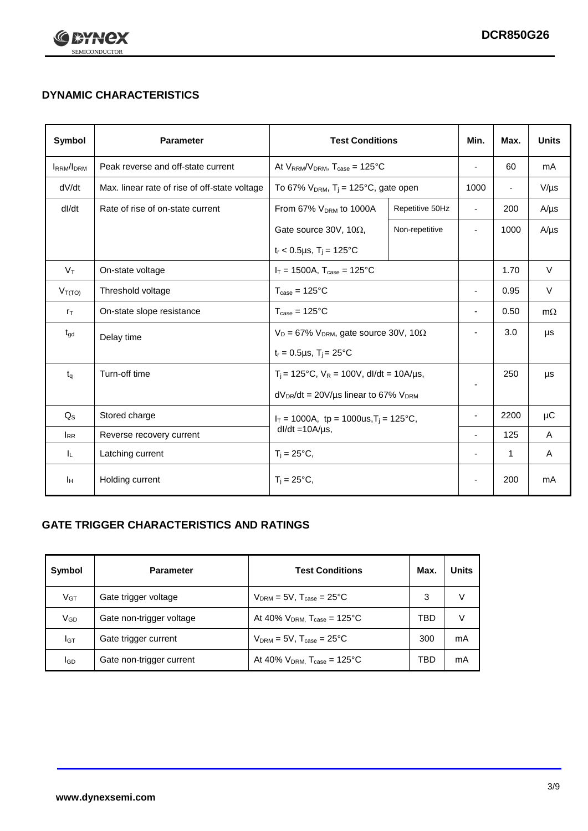

## **DYNAMIC CHARACTERISTICS**

| <b>Symbol</b>     | <b>Parameter</b>                              | <b>Test Conditions</b>                                                |                                                      | Min.                     | Max.                     | <b>Units</b> |
|-------------------|-----------------------------------------------|-----------------------------------------------------------------------|------------------------------------------------------|--------------------------|--------------------------|--------------|
| <b>IRRM</b> /IDRM | Peak reverse and off-state current            | At $V_{RRM}/V_{DRM}$ , $T_{case} = 125^{\circ}C$                      |                                                      |                          | 60                       | mA           |
| dV/dt             | Max. linear rate of rise of off-state voltage |                                                                       | To 67% $V_{DRM}$ , T <sub>i</sub> = 125°C, gate open |                          | $\overline{\phantom{a}}$ | $V/\mu s$    |
| dl/dt             | Rate of rise of on-state current              | From 67% V <sub>DRM</sub> to 1000A<br>Repetitive 50Hz                 |                                                      | $\overline{\phantom{a}}$ | 200                      | $A/\mu s$    |
|                   |                                               | Gate source 30V, 10 $\Omega$ ,                                        | Non-repetitive                                       | $\overline{\phantom{a}}$ | 1000                     | $A/\mu s$    |
|                   |                                               | $t_r$ < 0.5µs, $T_i$ = 125°C                                          |                                                      |                          |                          |              |
| $V_T$             | On-state voltage                              | $I_T = 1500A$ , $T_{case} = 125^{\circ}C$                             |                                                      |                          | 1.70                     | $\vee$       |
| $V_{T(TO)}$       | Threshold voltage                             | $T_{\text{case}} = 125^{\circ}C$                                      |                                                      |                          | 0.95                     | $\vee$       |
| $r_{\text{T}}$    | On-state slope resistance                     | $T_{\text{case}} = 125^{\circ}C$                                      |                                                      | $\blacksquare$           | 0.50                     | $m\Omega$    |
| $t_{\rm gd}$      | Delay time                                    | $V_D = 67\%$ V <sub>DRM</sub> , gate source 30V, 10 $\Omega$          |                                                      | $\overline{\phantom{a}}$ | 3.0                      | μs           |
|                   |                                               | $t_r = 0.5 \mu s$ , $T_i = 25^{\circ}C$                               |                                                      |                          |                          |              |
| $t_{q}$           | Turn-off time                                 | $T_i$ = 125°C, $V_R$ = 100V, dl/dt = 10A/µs,                          |                                                      |                          | 250                      | μs           |
|                   |                                               | $dV_{DR}/dt = 20V/\mu s$ linear to 67% $V_{DRM}$                      |                                                      |                          |                          |              |
| $Q_{\rm S}$       | Stored charge                                 | $I_T = 1000A$ , tp = 1000us, $T_i = 125$ °C,<br>$dl/dt = 10A/\mu s$ , |                                                      |                          | 2200                     | μC           |
| $I_{RR}$          | Reverse recovery current                      |                                                                       |                                                      | $\overline{\phantom{a}}$ | 125                      | A            |
| IL.               | Latching current                              | $T_i = 25^{\circ}C,$                                                  |                                                      | $\overline{\phantom{a}}$ | 1                        | Α            |
| Iн                | Holding current                               | $T_i = 25^{\circ}C,$                                                  |                                                      |                          | 200                      | mA           |

### **GATE TRIGGER CHARACTERISTICS AND RATINGS**

| Symbol          | <b>Parameter</b>         | <b>Test Conditions</b>                       | Max. | <b>Units</b> |
|-----------------|--------------------------|----------------------------------------------|------|--------------|
| $V_{GT}$        | Gate trigger voltage     | $V_{DRM}$ = 5V, $T_{case}$ = 25°C            | 3    | V            |
| V <sub>GD</sub> | Gate non-trigger voltage | At 40% $V_{DRM}$ , $T_{case} = 125^{\circ}C$ | TBD  | V            |
| IGТ             | Gate trigger current     | $V_{DRM}$ = 5V, $T_{case}$ = 25°C            | 300  | mA           |
| lgp             | Gate non-trigger current | At 40% $V_{DRM}$ , $T_{case} = 125^{\circ}C$ | TBD  | mA           |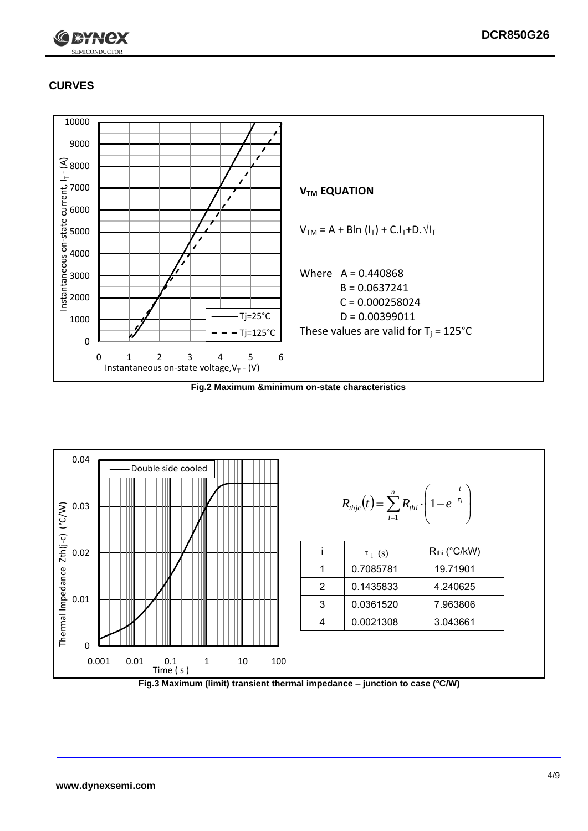

## **CURVES**



**Fig.2 Maximum &minimum on-state characteristics**



**Fig.3 Maximum (limit) transient thermal impedance – junction to case (°C/W)**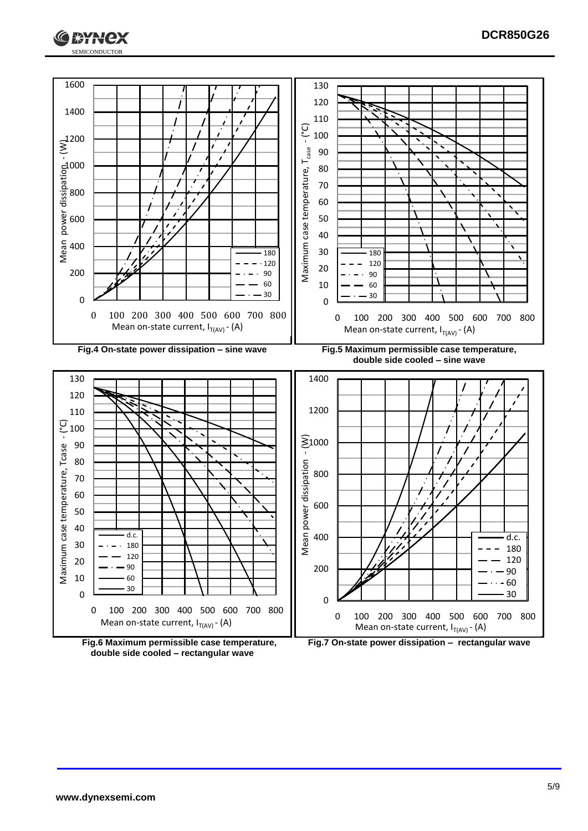



**double side cooled – rectangular wave**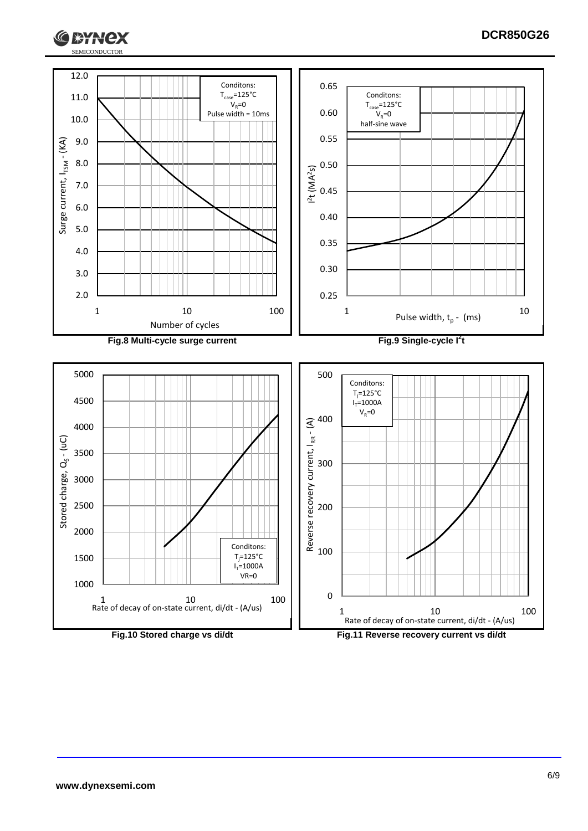

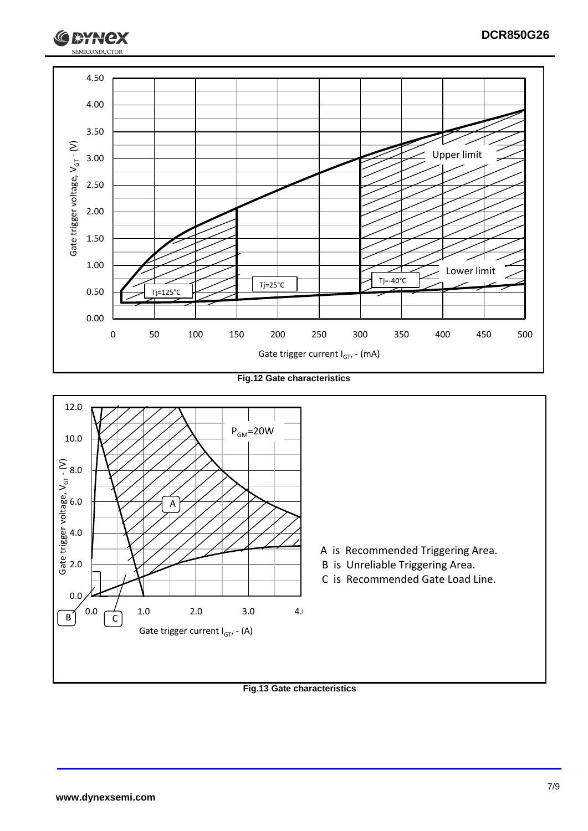

**Fig.12 Gate characteristics**



#### **Fig.13 Gate characteristics**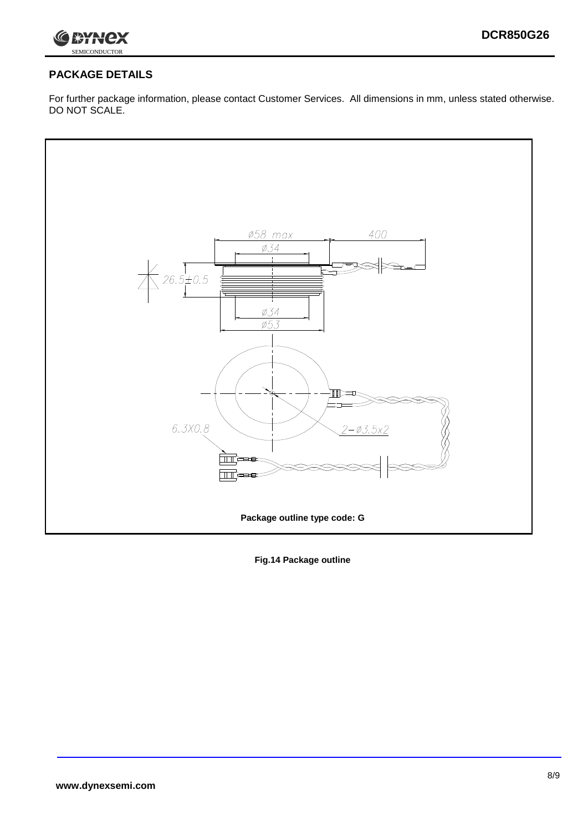

## **PACKAGE DETAILS**

For further package information, please contact Customer Services. All dimensions in mm, unless stated otherwise. DO NOT SCALE.



**Fig.14 Package outline**